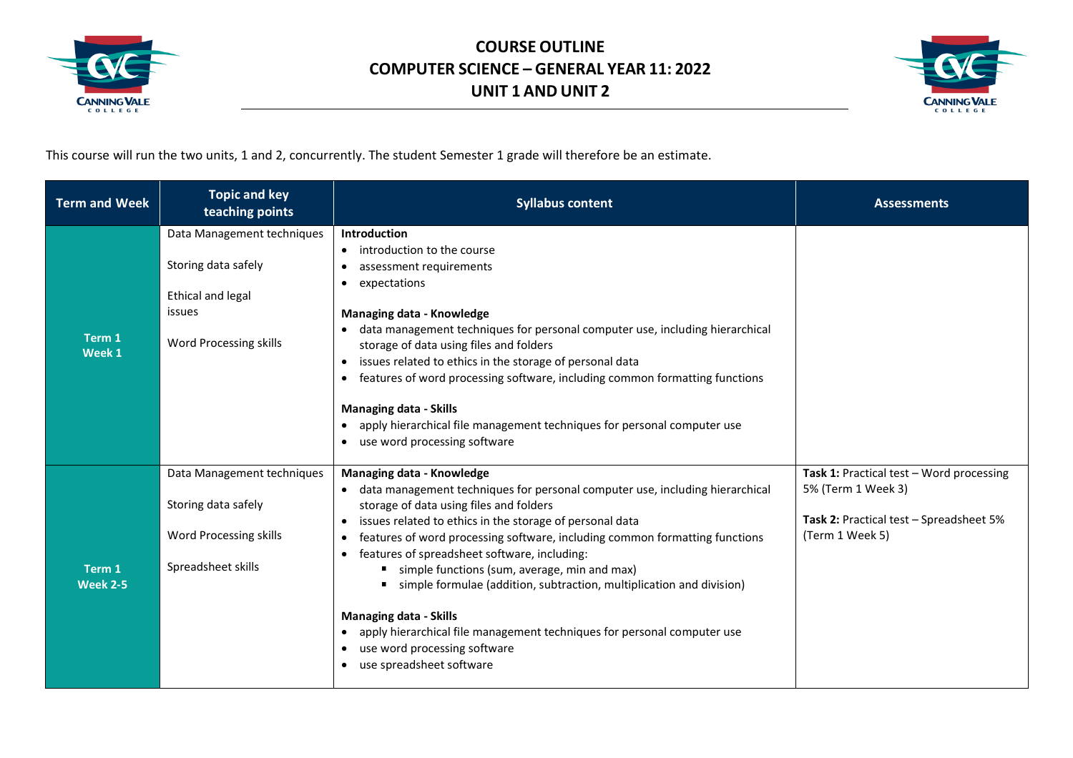



This course will run the two units, 1 and 2, concurrently. The student Semester 1 grade will therefore be an estimate.

| <b>Term and Week</b>      | <b>Topic and key</b><br>teaching points                                                                    | <b>Syllabus content</b>                                                                                                                                                                                                                                                                                                                                                                                                                                                                                                                                                                                                                         | <b>Assessments</b>                                                                                                           |
|---------------------------|------------------------------------------------------------------------------------------------------------|-------------------------------------------------------------------------------------------------------------------------------------------------------------------------------------------------------------------------------------------------------------------------------------------------------------------------------------------------------------------------------------------------------------------------------------------------------------------------------------------------------------------------------------------------------------------------------------------------------------------------------------------------|------------------------------------------------------------------------------------------------------------------------------|
| Term 1<br>Week 1          | Data Management techniques<br>Storing data safely<br>Ethical and legal<br>issues<br>Word Processing skills | <b>Introduction</b><br>• introduction to the course<br>assessment requirements<br>expectations<br>$\bullet$<br>Managing data - Knowledge<br>data management techniques for personal computer use, including hierarchical<br>storage of data using files and folders<br>issues related to ethics in the storage of personal data<br>$\bullet$<br>features of word processing software, including common formatting functions<br>$\bullet$<br><b>Managing data - Skills</b><br>apply hierarchical file management techniques for personal computer use<br>• use word processing software                                                          |                                                                                                                              |
| Term 1<br><b>Week 2-5</b> | Data Management techniques<br>Storing data safely<br>Word Processing skills<br>Spreadsheet skills          | Managing data - Knowledge<br>data management techniques for personal computer use, including hierarchical<br>storage of data using files and folders<br>issues related to ethics in the storage of personal data<br>features of word processing software, including common formatting functions<br>features of spreadsheet software, including:<br>simple functions (sum, average, min and max)<br>simple formulae (addition, subtraction, multiplication and division)<br><b>Managing data - Skills</b><br>apply hierarchical file management techniques for personal computer use<br>use word processing software<br>use spreadsheet software | Task 1: Practical test - Word processing<br>5% (Term 1 Week 3)<br>Task 2: Practical test - Spreadsheet 5%<br>(Term 1 Week 5) |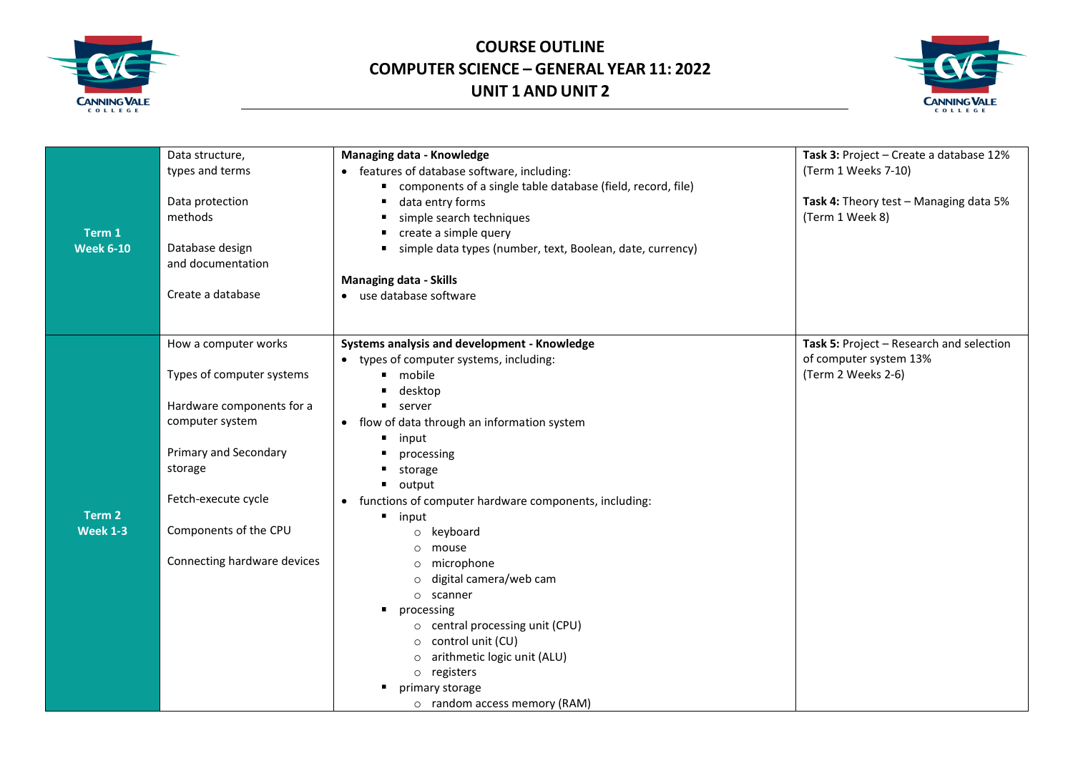



|                  | Data structure,             | Managing data - Knowledge                                                            | Task 3: Project - Create a database 12%      |
|------------------|-----------------------------|--------------------------------------------------------------------------------------|----------------------------------------------|
|                  | types and terms             | • features of database software, including:                                          | (Term 1 Weeks 7-10)                          |
|                  | Data protection             | components of a single table database (field, record, file)<br>data entry forms<br>п | Task 4: Theory test - Managing data 5%       |
|                  | methods                     | simple search techniques<br>п                                                        | (Term 1 Week 8)                              |
| Term 1           |                             | create a simple query<br>п                                                           |                                              |
| <b>Week 6-10</b> | Database design             | simple data types (number, text, Boolean, date, currency)<br>п                       |                                              |
|                  | and documentation           |                                                                                      |                                              |
|                  | Create a database           | <b>Managing data - Skills</b><br>• use database software                             |                                              |
|                  |                             |                                                                                      |                                              |
|                  |                             |                                                                                      |                                              |
|                  | How a computer works        | Systems analysis and development - Knowledge                                         | Task 5: Project - Research and selection     |
|                  |                             | • types of computer systems, including:                                              | of computer system 13%<br>(Term 2 Weeks 2-6) |
|                  | Types of computer systems   | mobile<br>desktop                                                                    |                                              |
|                  | Hardware components for a   | ٠<br>server                                                                          |                                              |
|                  | computer system             | • flow of data through an information system                                         |                                              |
|                  |                             | ٠<br>input                                                                           |                                              |
|                  | Primary and Secondary       | processing                                                                           |                                              |
|                  | storage                     | storage                                                                              |                                              |
|                  |                             | output                                                                               |                                              |
|                  | Fetch-execute cycle         | functions of computer hardware components, including:<br>$\bullet$                   |                                              |
| Term 2           |                             | input<br>٠                                                                           |                                              |
| <b>Week 1-3</b>  | Components of the CPU       | o keyboard                                                                           |                                              |
|                  | Connecting hardware devices | mouse<br>$\circ$                                                                     |                                              |
|                  |                             | microphone<br>$\circ$<br>digital camera/web cam<br>$\circ$                           |                                              |
|                  |                             | o scanner                                                                            |                                              |
|                  |                             | ٠<br>processing                                                                      |                                              |
|                  |                             | o central processing unit (CPU)                                                      |                                              |
|                  |                             | $\circ$ control unit (CU)                                                            |                                              |
|                  |                             | o arithmetic logic unit (ALU)                                                        |                                              |
|                  |                             | o registers                                                                          |                                              |
|                  |                             | primary storage                                                                      |                                              |
|                  |                             | $\circ$ random access memory (RAM)                                                   |                                              |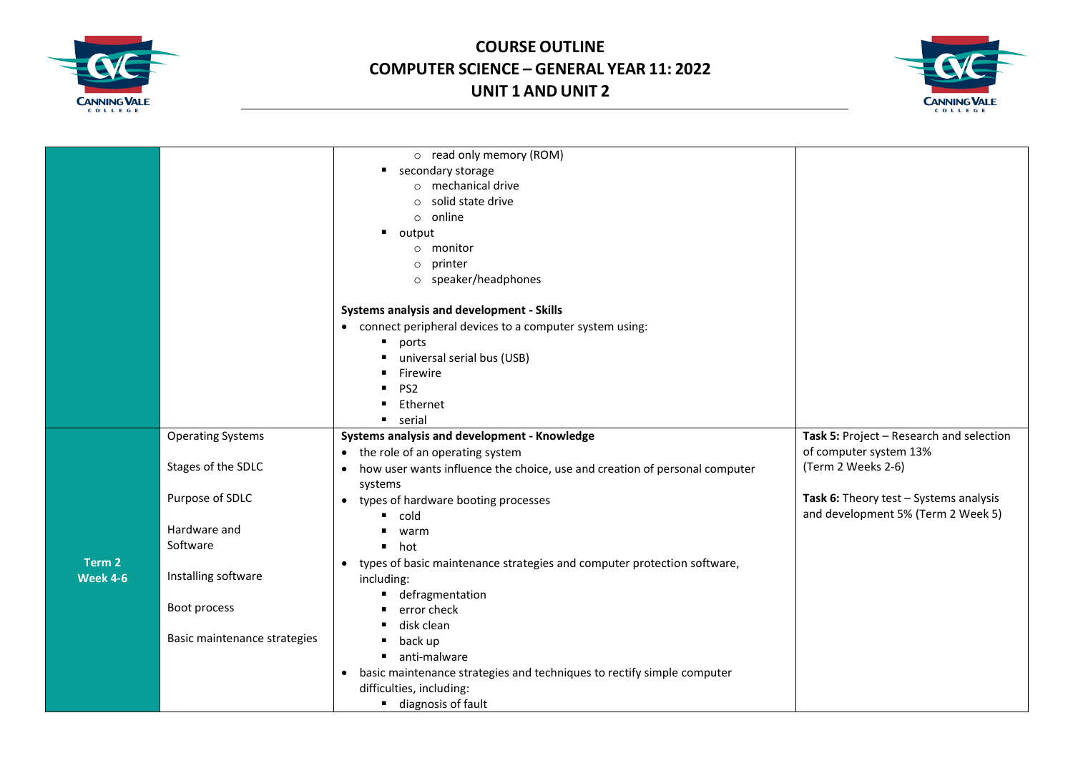



|                 |                              | o read only memory (ROM)                                                                           |                                          |
|-----------------|------------------------------|----------------------------------------------------------------------------------------------------|------------------------------------------|
|                 |                              | ■ secondary storage                                                                                |                                          |
|                 |                              | $\circ$ mechanical drive                                                                           |                                          |
|                 |                              | solid state drive<br>$\circ$                                                                       |                                          |
|                 |                              | $\circ$ online                                                                                     |                                          |
|                 |                              | ٠<br>output                                                                                        |                                          |
|                 |                              | o monitor                                                                                          |                                          |
|                 |                              | printer<br>$\circ$                                                                                 |                                          |
|                 |                              | o speaker/headphones                                                                               |                                          |
|                 |                              | Systems analysis and development - Skills                                                          |                                          |
|                 |                              | connect peripheral devices to a computer system using:<br>$\bullet$                                |                                          |
|                 |                              | ports<br>٠                                                                                         |                                          |
|                 |                              | universal serial bus (USB)<br>٠                                                                    |                                          |
|                 |                              | Firewire                                                                                           |                                          |
|                 |                              | PS <sub>2</sub>                                                                                    |                                          |
|                 |                              | Ethernet                                                                                           |                                          |
|                 |                              | serial<br>٠                                                                                        |                                          |
|                 | <b>Operating Systems</b>     | Systems analysis and development - Knowledge                                                       | Task 5: Project - Research and selection |
|                 |                              | • the role of an operating system                                                                  | of computer system 13%                   |
|                 | Stages of the SDLC           | how user wants influence the choice, use and creation of personal computer<br>$\bullet$            | (Term 2 Weeks 2-6)                       |
|                 |                              |                                                                                                    |                                          |
|                 |                              |                                                                                                    |                                          |
|                 |                              | systems<br>$\bullet$                                                                               |                                          |
|                 | Purpose of SDLC              | types of hardware booting processes                                                                | Task 6: Theory test - Systems analysis   |
|                 | Hardware and                 | cold                                                                                               | and development 5% (Term 2 Week 5)       |
|                 | Software                     | warm<br>$\blacksquare$<br>hot                                                                      |                                          |
| Term 2          |                              | $\bullet$                                                                                          |                                          |
| <b>Week 4-6</b> | Installing software          | types of basic maintenance strategies and computer protection software,                            |                                          |
|                 |                              | including:<br>٠                                                                                    |                                          |
|                 | Boot process                 | defragmentation<br>error check                                                                     |                                          |
|                 |                              |                                                                                                    |                                          |
|                 | Basic maintenance strategies | disk clean                                                                                         |                                          |
|                 |                              | back up<br>anti-malware<br>٠                                                                       |                                          |
|                 |                              | $\bullet$                                                                                          |                                          |
|                 |                              | basic maintenance strategies and techniques to rectify simple computer<br>difficulties, including: |                                          |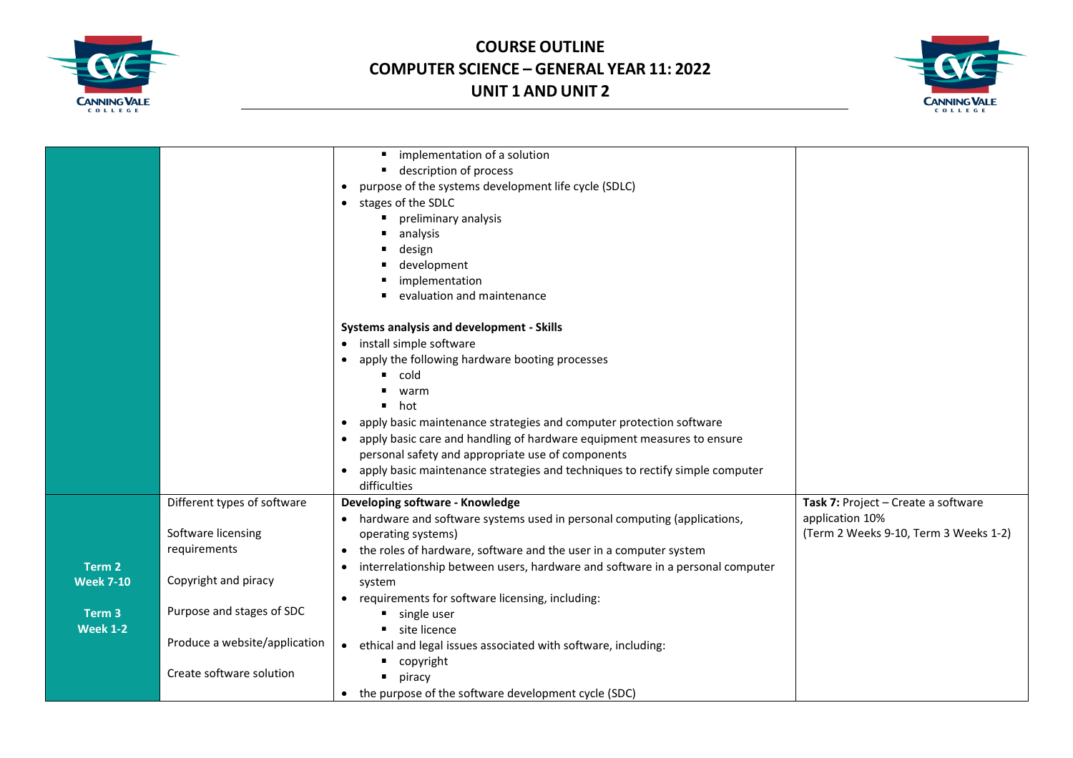



|                   |                               | implementation of a solution<br>п                                                          |                                       |
|-------------------|-------------------------------|--------------------------------------------------------------------------------------------|---------------------------------------|
|                   |                               | description of process<br>٠                                                                |                                       |
|                   |                               | purpose of the systems development life cycle (SDLC)<br>$\bullet$                          |                                       |
|                   |                               | stages of the SDLC<br>$\bullet$                                                            |                                       |
|                   |                               | preliminary analysis                                                                       |                                       |
|                   |                               | analysis                                                                                   |                                       |
|                   |                               | design                                                                                     |                                       |
|                   |                               | development                                                                                |                                       |
|                   |                               | implementation                                                                             |                                       |
|                   |                               | evaluation and maintenance                                                                 |                                       |
|                   |                               | Systems analysis and development - Skills                                                  |                                       |
|                   |                               | install simple software<br>$\bullet$                                                       |                                       |
|                   |                               | apply the following hardware booting processes                                             |                                       |
|                   |                               | cold                                                                                       |                                       |
|                   |                               | warm                                                                                       |                                       |
|                   |                               | hot                                                                                        |                                       |
|                   |                               | apply basic maintenance strategies and computer protection software<br>$\bullet$           |                                       |
|                   |                               | apply basic care and handling of hardware equipment measures to ensure                     |                                       |
|                   |                               | personal safety and appropriate use of components                                          |                                       |
|                   |                               | apply basic maintenance strategies and techniques to rectify simple computer               |                                       |
|                   |                               | difficulties                                                                               |                                       |
|                   | Different types of software   | Developing software - Knowledge                                                            | Task 7: Project - Create a software   |
|                   |                               | • hardware and software systems used in personal computing (applications,                  | application 10%                       |
|                   | Software licensing            | operating systems)                                                                         | (Term 2 Weeks 9-10, Term 3 Weeks 1-2) |
|                   | requirements                  | the roles of hardware, software and the user in a computer system<br>$\bullet$             |                                       |
| Term 2            |                               | interrelationship between users, hardware and software in a personal computer<br>$\bullet$ |                                       |
| <b>Week 7-10</b>  | Copyright and piracy          | system                                                                                     |                                       |
|                   |                               | requirements for software licensing, including:                                            |                                       |
| Term <sub>3</sub> | Purpose and stages of SDC     | single user                                                                                |                                       |
| <b>Week 1-2</b>   |                               | site licence                                                                               |                                       |
|                   | Produce a website/application |                                                                                            |                                       |
|                   |                               | ethical and legal issues associated with software, including:<br>$\bullet$                 |                                       |
|                   | Create software solution      | copyright                                                                                  |                                       |
|                   |                               | piracy                                                                                     |                                       |
|                   |                               | the purpose of the software development cycle (SDC)<br>$\bullet$                           |                                       |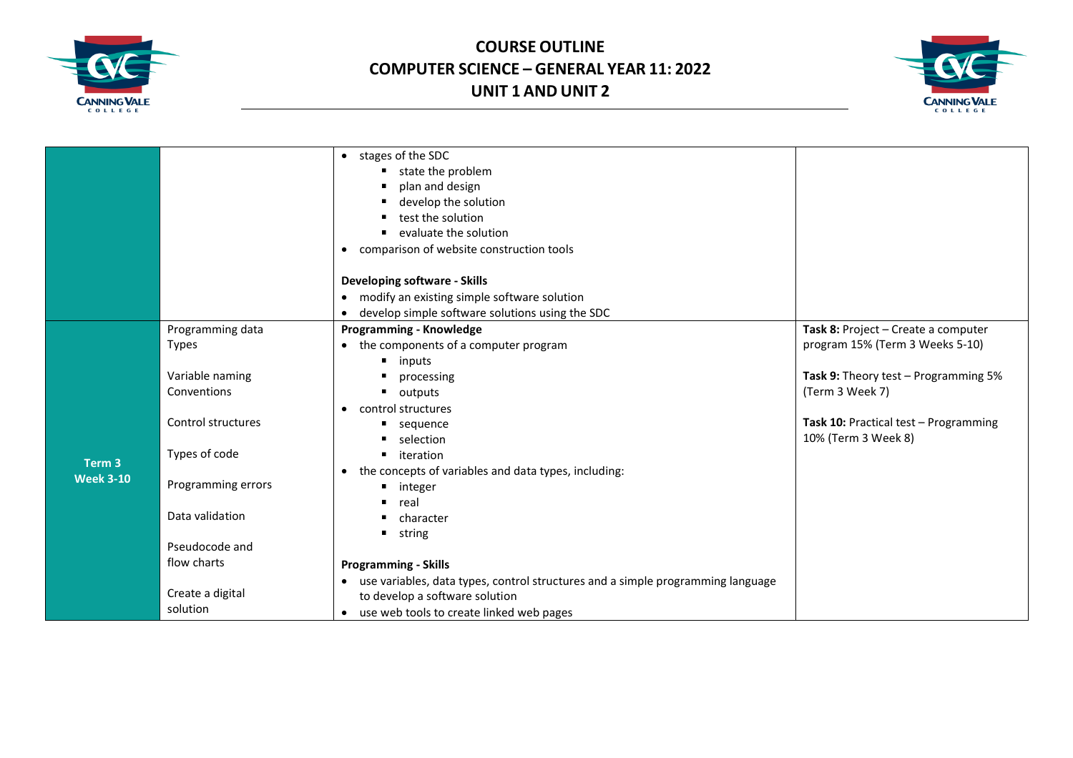



|                  |                    | • stages of the SDC                                                                          |                                       |
|------------------|--------------------|----------------------------------------------------------------------------------------------|---------------------------------------|
|                  |                    | state the problem                                                                            |                                       |
|                  |                    | plan and design                                                                              |                                       |
|                  |                    | develop the solution                                                                         |                                       |
|                  |                    | test the solution                                                                            |                                       |
|                  |                    | evaluate the solution                                                                        |                                       |
|                  |                    | comparison of website construction tools<br>$\bullet$                                        |                                       |
|                  |                    | <b>Developing software - Skills</b>                                                          |                                       |
|                  |                    | modify an existing simple software solution                                                  |                                       |
|                  |                    | develop simple software solutions using the SDC                                              |                                       |
|                  | Programming data   | <b>Programming - Knowledge</b>                                                               | Task 8: Project - Create a computer   |
|                  | Types              | • the components of a computer program                                                       | program 15% (Term 3 Weeks 5-10)       |
|                  |                    | inputs                                                                                       |                                       |
|                  | Variable naming    | processing                                                                                   | Task 9: Theory test - Programming 5%  |
|                  | Conventions        | outputs                                                                                      | (Term 3 Week 7)                       |
|                  |                    | control structures<br>$\bullet$                                                              |                                       |
|                  | Control structures | sequence                                                                                     | Task 10: Practical test - Programming |
|                  |                    | selection                                                                                    | 10% (Term 3 Week 8)                   |
| Term 3           | Types of code      | iteration<br>$\blacksquare$                                                                  |                                       |
| <b>Week 3-10</b> |                    | • the concepts of variables and data types, including:                                       |                                       |
|                  | Programming errors | integer                                                                                      |                                       |
|                  |                    | real                                                                                         |                                       |
|                  | Data validation    | character                                                                                    |                                       |
|                  |                    | $\blacksquare$<br>string                                                                     |                                       |
|                  | Pseudocode and     |                                                                                              |                                       |
|                  | flow charts        | <b>Programming - Skills</b>                                                                  |                                       |
|                  |                    | use variables, data types, control structures and a simple programming language<br>$\bullet$ |                                       |
|                  | Create a digital   | to develop a software solution                                                               |                                       |
|                  | solution           | • use web tools to create linked web pages                                                   |                                       |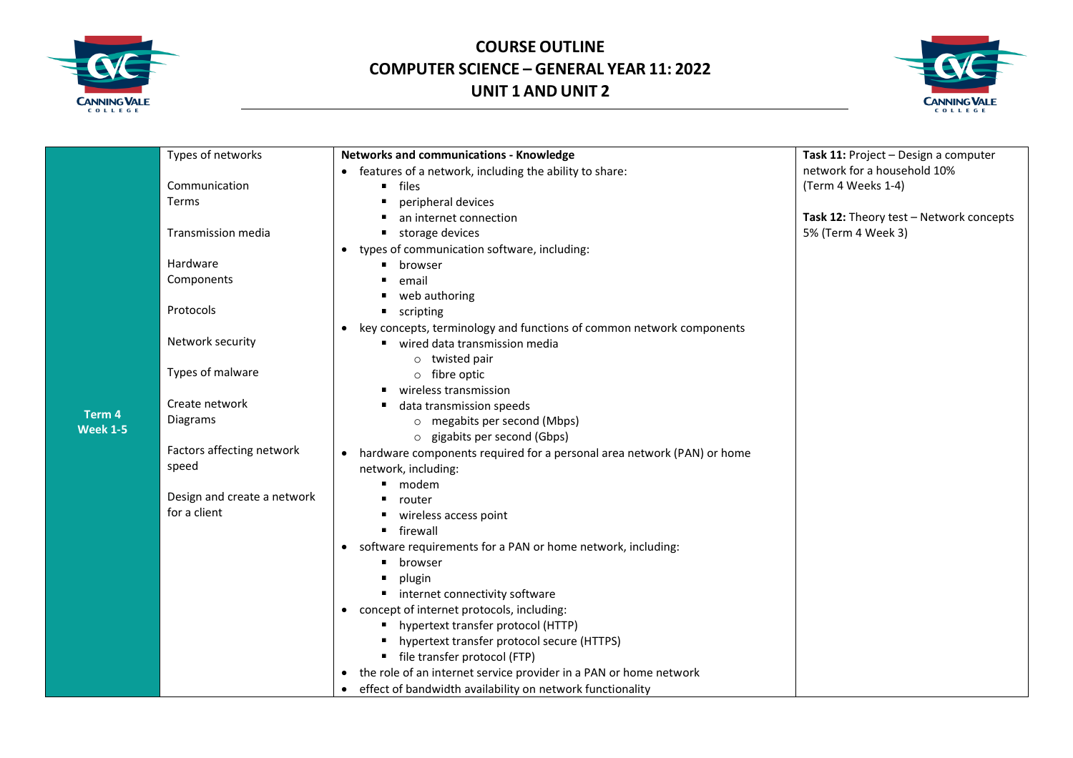



|                   | Types of networks           | Networks and communications - Knowledge                                           | Task 11: Project - Design a computer    |
|-------------------|-----------------------------|-----------------------------------------------------------------------------------|-----------------------------------------|
|                   |                             | • features of a network, including the ability to share:                          | network for a household 10%             |
|                   | Communication               | files                                                                             | (Term 4 Weeks 1-4)                      |
|                   | Terms                       | peripheral devices                                                                |                                         |
|                   |                             | an internet connection                                                            | Task 12: Theory test - Network concepts |
|                   | Transmission media          | storage devices                                                                   | 5% (Term 4 Week 3)                      |
|                   |                             | types of communication software, including:                                       |                                         |
|                   | Hardware                    | browser                                                                           |                                         |
|                   | Components                  | email                                                                             |                                         |
|                   |                             | web authoring                                                                     |                                         |
|                   | Protocols                   | scripting                                                                         |                                         |
|                   |                             | key concepts, terminology and functions of common network components<br>$\bullet$ |                                         |
|                   | Network security            | ■ wired data transmission media                                                   |                                         |
|                   |                             | $\circ$ twisted pair                                                              |                                         |
|                   | Types of malware            | $\circ$ fibre optic                                                               |                                         |
|                   |                             | wireless transmission                                                             |                                         |
| Term <sub>4</sub> | Create network              | data transmission speeds                                                          |                                         |
| <b>Week 1-5</b>   | Diagrams                    | o megabits per second (Mbps)                                                      |                                         |
|                   |                             | o gigabits per second (Gbps)                                                      |                                         |
|                   | Factors affecting network   | hardware components required for a personal area network (PAN) or home            |                                         |
|                   | speed                       | network, including:                                                               |                                         |
|                   |                             | modem                                                                             |                                         |
|                   | Design and create a network | router                                                                            |                                         |
|                   | for a client                | wireless access point                                                             |                                         |
|                   |                             | $\blacksquare$ firewall                                                           |                                         |
|                   |                             | • software requirements for a PAN or home network, including:                     |                                         |
|                   |                             | browser                                                                           |                                         |
|                   |                             | plugin                                                                            |                                         |
|                   |                             | internet connectivity software                                                    |                                         |
|                   |                             | • concept of internet protocols, including:                                       |                                         |
|                   |                             | hypertext transfer protocol (HTTP)                                                |                                         |
|                   |                             | hypertext transfer protocol secure (HTTPS)                                        |                                         |
|                   |                             | file transfer protocol (FTP)                                                      |                                         |
|                   |                             | • the role of an internet service provider in a PAN or home network               |                                         |
|                   |                             | effect of bandwidth availability on network functionality                         |                                         |